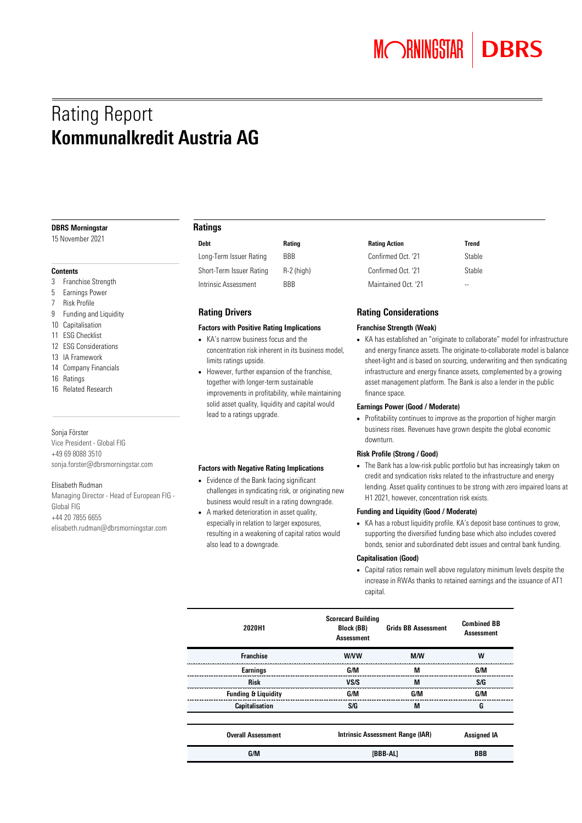# Rating Report Kommunalkredit Austria AG

#### DBRS Morningstar

15 November 2021

#### **Contents**

- 3 Franchise Strength
- 5 Earnings Power
- 7 Risk Profile
- 9 Funding and Liquidity
- 10 Capitalisation
- 11 ESG Checklist
- 12 ESG Considerations
- 13 IA Framework
- 14 Company Financials
- 16 Ratings
- 16 Related Research

#### Sonja Förster

Vice President - Global FIG +49 69 8088 3510 [sonja.forster@dbrsmorningstar.com](mailto:sonja.forster@dbrsmorningstar.com)

#### Elisabeth Rudman

Managing Director - Head of European FIG - Global FIG +44 20 7855 6655 [elisabeth.rudman@dbrsmorningstar.com](mailto:elisabeth.rudman@dbrsmorningstar.com)

# Ratings

| Debt                               |
|------------------------------------|
| Long-Term Issuer Rating            |
| Short-Term Issuer Rating           |
| للمسترجع ومستوجبا المناصر والمنفسا |

Intrinsic Assessment BBB

# Rating Drivers

#### Factors with Positive Rating Implications

- KA's narrow business focus and the concentration risk inherent in its business model, limits ratings upside.
- However, further expansion of the franchise, together with longer-term sustainable improvements in profitability, while maintaining solid asset quality, liquidity and capital would lead to a ratings upgrade.

#### Factors with Negative Rating Implications

- Evidence of the Bank facing significant challenges in syndicating risk, or originating new business would result in a rating downgrade.
- A marked deterioration in asset quality, especially in relation to larger exposures, resulting in a weakening of capital ratios would also lead to a downgrade.

| Debt                     | Rating     | <b>Rating Action</b> | Trend  |
|--------------------------|------------|----------------------|--------|
| Long-Term Issuer Rating  | BBB        | Confirmed Oct. '21   | Stable |
| Short-Term Issuer Rating | R-2 (high) | Confirmed Oct. '21   | Stable |
| Intrinsic Assessment     | BBB        | Maintained Oct. '21  | $-$    |

# Rating Considerations

#### Franchise Strength (Weak)

• KA has established an "originate to collaborate" model for infrastructure and energy finance assets. The originate-to-collaborate model is balance sheet-light and is based on sourcing, underwriting and then syndicating infrastructure and energy finance assets, complemented by a growing asset management platform. The Bank is also a lender in the public finance space.

#### Earnings Power (Good / Moderate)

• Profitability continues to improve as the proportion of higher margin business rises. Revenues have grown despite the global economic downturn.

#### Risk Profile (Strong / Good)

• The Bank has a low-risk public portfolio but has increasingly taken on credit and syndication risks related to the infrastructure and energy lending. Asset quality continues to be strong with zero impaired loans at H1 2021, however, concentration risk exists.

#### Funding and Liquidity (Good / Moderate)

• KA has a robust liquidity profile. KA's deposit base continues to grow, supporting the diversified funding base which also includes covered bonds, senior and subordinated debt issues and central bank funding.

#### Capitalisation (Good)

• Capital ratios remain well above regulatory minimum levels despite the increase in RWAs thanks to retained earnings and the issuance of AT1 capital.

| 2020H1                         | <b>Scorecard Building</b><br>Block (BB)<br><b>Assessment</b> | <b>Grids BB Assessment</b>       | <b>Combined BB</b><br><b>Assessment</b> |
|--------------------------------|--------------------------------------------------------------|----------------------------------|-----------------------------------------|
| <b>Franchise</b>               | <b>W/VW</b>                                                  | M/W                              | W                                       |
| Earnings                       | G/M                                                          | М                                | G/M                                     |
| <b>Risk</b>                    | VS/S                                                         | M                                | S/G                                     |
| <b>Funding &amp; Liquidity</b> | G/M                                                          | G/M                              | G/M                                     |
| Capitalisation                 | S/G                                                          | M                                | G                                       |
| <b>Overall Assessment</b>      |                                                              | Intrinsic Assessment Range (IAR) | <b>Assigned IA</b>                      |
| G/M                            | [BBB-AL]                                                     |                                  | <b>BBB</b>                              |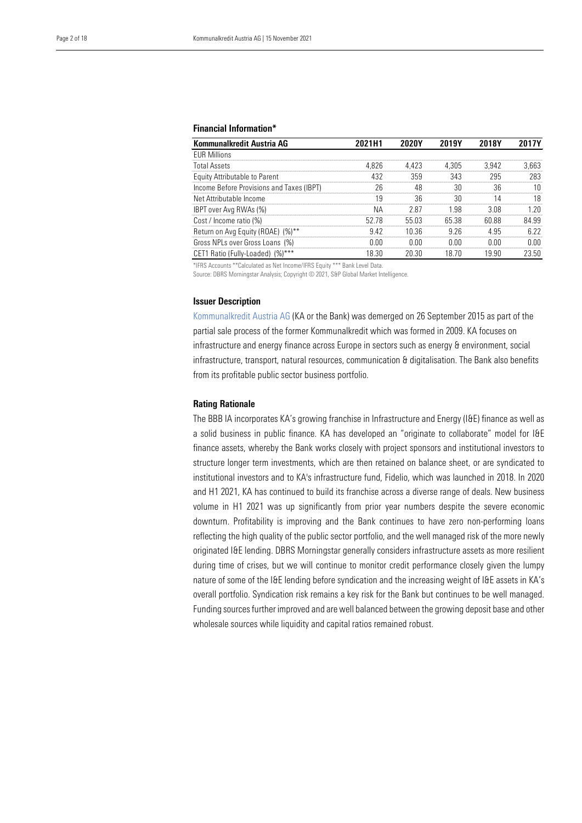# Financial Information\*

| Kommunalkredit Austria AG                 | 2021H1 | 2020Y | 2019Y | 2018Y | 2017Y |
|-------------------------------------------|--------|-------|-------|-------|-------|
| <b>EUR Millions</b>                       |        |       |       |       |       |
| <b>Total Assets</b>                       | 4.826  | 4.423 | 4.305 | 3.942 | 3.663 |
| Equity Attributable to Parent             | 432    | 359   | 343   | 295   | 283   |
| Income Before Provisions and Taxes (IBPT) | 26     | 48    | 30    | 36    | 10    |
| Net Attributable Income                   | 19     | 36    | 30    |       | 18    |
| IBPT over Avg RWAs (%)                    | NА     | 287   | 1.98  | 3.08  | l 20  |
| Cost / Income ratio (%)                   | 52.78  | 55 03 | 65.38 | 60.88 | 84 99 |
| Return on Avg Equity (ROAE) (%)**         | 942    | 10.36 | 9 26  | 495   | 6.22  |
| Gross NPLs over Gross Loans (%)           | በ በበ   | 0 V V | 0 OO  | 0 Q Q | 0.00  |
| CET1 Ratio (Fully-Loaded) (%)***          | 18.30  | 20.30 | 18 /O | 19 90 | 23.50 |

\*IFRS Accounts \*\*Calculated as Net Income/IFRS Equity \*\*\* Bank Level Data.

Source: DBRS Morningstar Analysis; Copyright © 2021, S&P Global Market Intelligence.

#### Issuer Description

[Kommunalkredit Austria AG](https://www.dbrsmorningstar.com/issuers/21121) (KA or the Bank) was demerged on 26 September 2015 as part of the partial sale process of the former Kommunalkredit which was formed in 2009. KA focuses on infrastructure and energy finance across Europe in sectors such as energy & environment, social infrastructure, transport, natural resources, communication & digitalisation. The Bank also benefits from its profitable public sector business portfolio.

## Rating Rationale

The BBB IA incorporates KA's growing franchise in Infrastructure and Energy (I&E) finance as well as a solid business in public finance. KA has developed an "originate to collaborate" model for I&E finance assets, whereby the Bank works closely with project sponsors and institutional investors to structure longer term investments, which are then retained on balance sheet, or are syndicated to institutional investors and to KA's infrastructure fund, Fidelio, which was launched in 2018. In 2020 and H1 2021, KA has continued to build its franchise across a diverse range of deals. New business volume in H1 2021 was up significantly from prior year numbers despite the severe economic downturn. Profitability is improving and the Bank continues to have zero non-performing loans reflecting the high quality of the public sector portfolio, and the well managed risk of the more newly originated I&E lending. DBRS Morningstar generally considers infrastructure assets as more resilient during time of crises, but we will continue to monitor credit performance closely given the lumpy nature of some of the I&E lending before syndication and the increasing weight of I&E assets in KA's overall portfolio. Syndication risk remains a key risk for the Bank but continues to be well managed. Funding sources further improved and are well balanced between the growing deposit base and other wholesale sources while liquidity and capital ratios remained robust.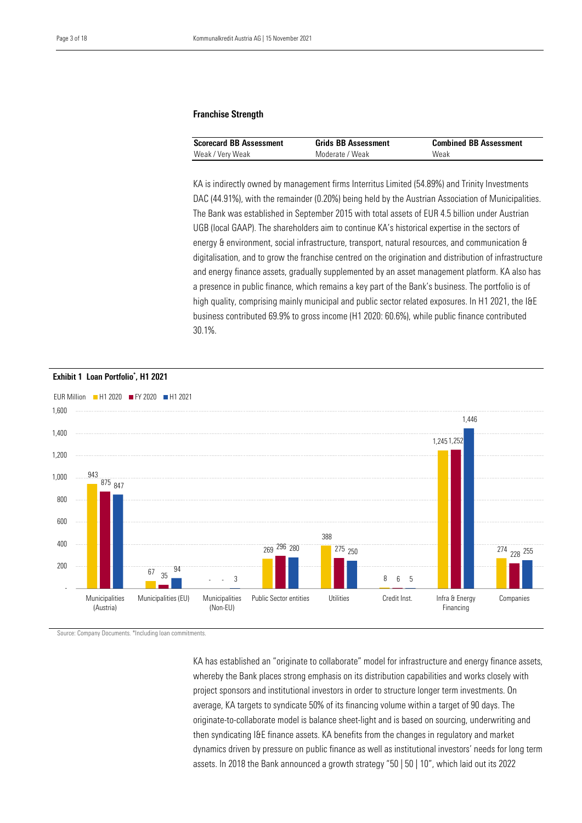# Franchise Strength

| <b>Scorecard BB Assessment</b> | <b>Grids BB Assessment</b> | <b>Combined BB Assessment</b> |
|--------------------------------|----------------------------|-------------------------------|
| Weak / Very Weak               | Moderate / Weak            | Weak                          |

 KA is indirectly owned by management firms Interritus Limited (54.89%) and Trinity Investments DAC (44.91%), with the remainder (0.20%) being held by the Austrian Association of Municipalities. The Bank was established in September 2015 with total assets of EUR 4.5 billion under Austrian UGB (local GAAP). The shareholders aim to continue KA's historical expertise in the sectors of energy & environment, social infrastructure, transport, natural resources, and communication & digitalisation, and to grow the franchise centred on the origination and distribution of infrastructure and energy finance assets, gradually supplemented by an asset management platform. KA also has a presence in public finance, which remains a key part of the Bank's business. The portfolio is of high quality, comprising mainly municipal and public sector related exposures. In H1 2021, the I&E business contributed 69.9% to gross income (H1 2020: 60.6%), while public finance contributed 30.1%.



Source: Company Documents. \*Including loan commitments.

KA has established an "originate to collaborate" model for infrastructure and energy finance assets, whereby the Bank places strong emphasis on its distribution capabilities and works closely with project sponsors and institutional investors in order to structure longer term investments. On average, KA targets to syndicate 50% of its financing volume within a target of 90 days. The originate-to-collaborate model is balance sheet-light and is based on sourcing, underwriting and then syndicating I&E finance assets. KA benefits from the changes in regulatory and market dynamics driven by pressure on public finance as well as institutional investors' needs for long term assets. In 2018 the Bank announced a growth strategy "50 | 50 | 10", which laid out its 2022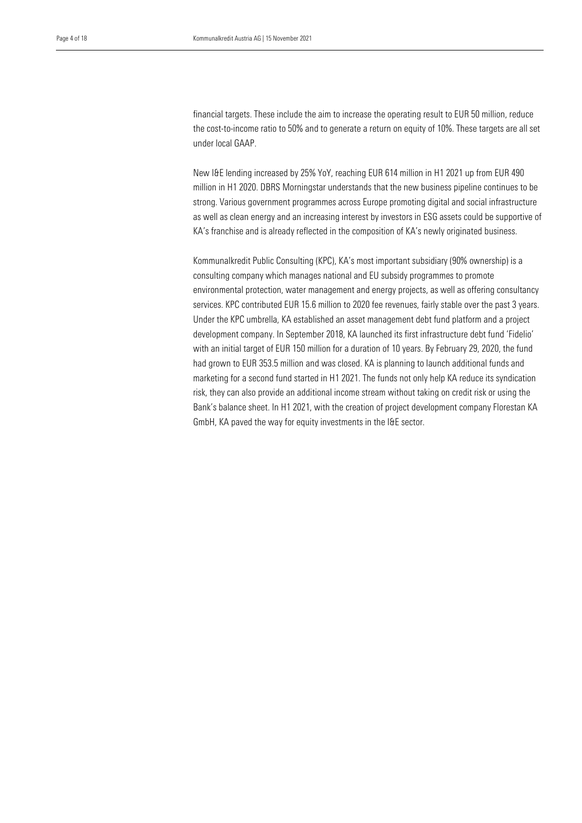the cost-to-income ratio to 50% and to generate a return on equity of 10%. These targets are all set under local GAAP. financial targets. These include the aim to increase the operating result to EUR 50 million, reduce

 New I&E lending increased by 25% YoY, reaching EUR 614 million in H1 2021 up from EUR 490 million in H1 2020. DBRS Morningstar understands that the new business pipeline continues to be strong. Various government programmes across Europe promoting digital and social infrastructure as well as clean energy and an increasing interest by investors in ESG assets could be supportive of KA's franchise and is already reflected in the composition of KA's newly originated business.

Kommunalkredit Public Consulting (KPC), KA's most important subsidiary (90% ownership) is a consulting company which manages national and EU subsidy programmes to promote environmental protection, water management and energy projects, as well as offering consultancy services. KPC contributed EUR 15.6 million to 2020 fee revenues, fairly stable over the past 3 years. Under the KPC umbrella, KA established an asset management debt fund platform and a project development company. In September 2018, KA launched its first infrastructure debt fund 'Fidelio' with an initial target of EUR 150 million for a duration of 10 years. By February 29, 2020, the fund had grown to EUR 353.5 million and was closed. KA is planning to launch additional funds and marketing for a second fund started in H1 2021. The funds not only help KA reduce its syndication risk, they can also provide an additional income stream without taking on credit risk or using the Bank's balance sheet. In H1 2021, with the creation of project development company Florestan KA GmbH, KA paved the way for equity investments in the I&E sector.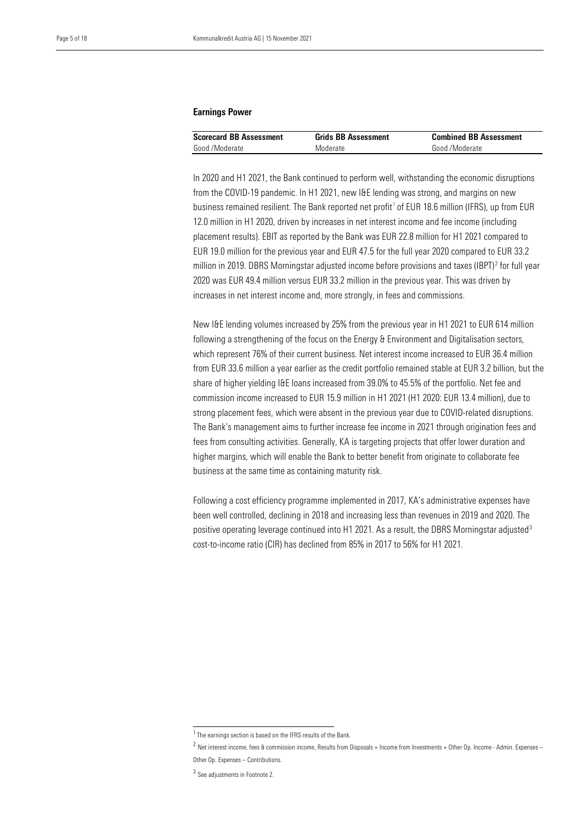#### Earnings Power

| <b>Scorecard BB Assessment</b> | <b>Grids BB Assessment</b> | <b>Combined BB Assessment</b> |
|--------------------------------|----------------------------|-------------------------------|
| Good /Moderate                 | Moderate                   | Good /Moderate                |

In 2020 and H1 2021, the Bank continued to perform well, withstanding the economic disruptions from the COVID-19 pandemic. In H1 2021, new I&E lending was strong, and margins on new business remained resilient. The Bank reported net profit<sup>[1](#page-4-0)</sup> of EUR 18.6 million (IFRS), up from EUR 12.0 million in H1 2020, driven by increases in net interest income and fee income (including placement results). EBIT as reported by the Bank was EUR 22.8 million for H1 2021 compared to EUR 19.0 million for the previous year and EUR 47.5 for the full year 2020 compared to EUR 33.2 million in 2019. DBRS Morningstar adjusted income before provisions and taxes (IBPT) [2](#page-4-1) for full year 2020 was EUR 49.4 million versus EUR 33.2 million in the previous year. This was driven by increases in net interest income and, more strongly, in fees and commissions.

New I&E lending volumes increased by 25% from the previous year in H1 2021 to EUR 614 million following a strengthening of the focus on the Energy & Environment and Digitalisation sectors, which represent 76% of their current business. Net interest income increased to EUR 36.4 million from EUR 33.6 million a year earlier as the credit portfolio remained stable at EUR 3.2 billion, but the share of higher yielding I&E loans increased from 39.0% to 45.5% of the portfolio. Net fee and commission income increased to EUR 15.9 million in H1 2021 (H1 2020: EUR 13.4 million), due to strong placement fees, which were absent in the previous year due to COVID-related disruptions. The Bank's management aims to further increase fee income in 2021 through origination fees and fees from consulting activities. Generally, KA is targeting projects that offer lower duration and higher margins, which will enable the Bank to better benefit from originate to collaborate fee business at the same time as containing maturity risk.

Following a cost efficiency programme implemented in 2017, KA's administrative expenses have been well controlled, declining in 2018 and increasing less than revenues in 2019 and 2020. The positive operating leverage continued into H1 2021. As a result, the DBRS Morningstar adjusted<sup>[3](#page-4-2)</sup> cost-to-income ratio (CIR) has declined from 85% in 2017 to 56% for H1 2021.

<span id="page-4-0"></span> $1$ The earnings section is based on the IFRS results of the Bank.

<span id="page-4-2"></span><span id="page-4-1"></span> $^2$  Net interest income, fees & commission income, Results from Disposals + Income from Investments + Other Op. Income - Admin. Expenses – Other Op. Expenses – Contributions.

 $3$  See adjustments in Footnote 2.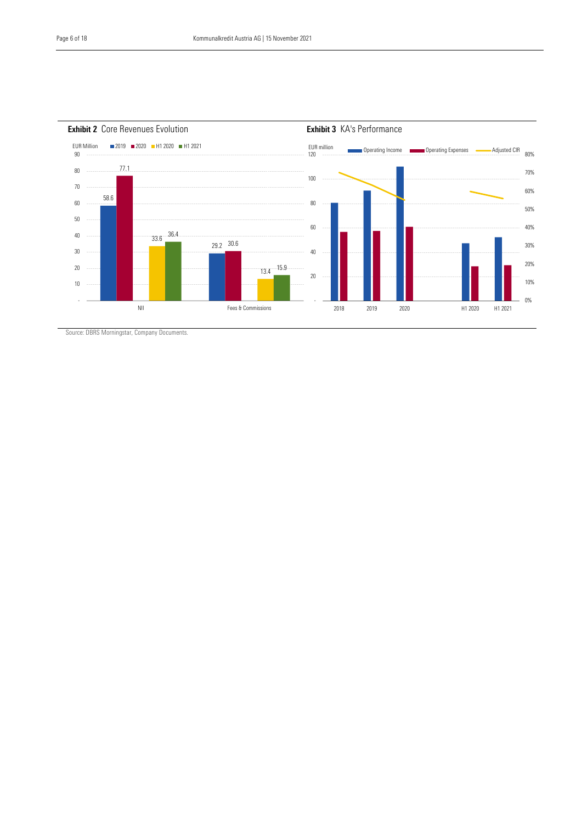

Source: DBRS Morningstar, Company Documents.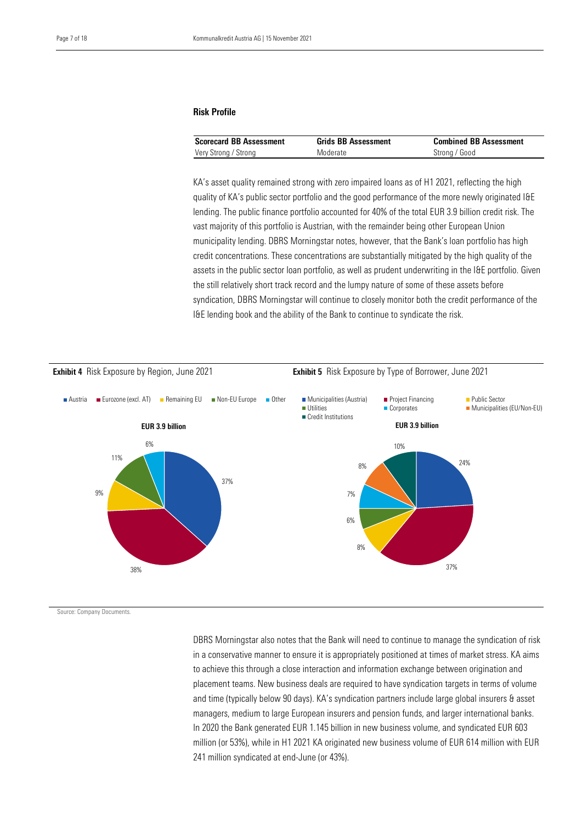### Risk Profile

| <b>Scorecard BB Assessment</b> | <b>Grids BB Assessment</b> | <b>Combined BB Assessment</b> |
|--------------------------------|----------------------------|-------------------------------|
| Very Strong / Strong           | Moderate                   | Strong / Good                 |

 KA's asset quality remained strong with zero impaired loans as of H1 2021, reflecting the high quality of KA's public sector portfolio and the good performance of the more newly originated I&E lending. The public finance portfolio accounted for 40% of the total EUR 3.9 billion credit risk. The vast majority of this portfolio is Austrian, with the remainder being other European Union municipality lending. DBRS Morningstar notes, however, that the Bank's loan portfolio has high credit concentrations. These concentrations are substantially mitigated by the high quality of the assets in the public sector loan portfolio, as well as prudent underwriting in the I&E portfolio. Given the still relatively short track record and the lumpy nature of some of these assets before syndication, DBRS Morningstar will continue to closely monitor both the credit performance of the I&E lending book and the ability of the Bank to continue to syndicate the risk.



Source: Company Documents.

DBRS Morningstar also notes that the Bank will need to continue to manage the syndication of risk in a conservative manner to ensure it is appropriately positioned at times of market stress. KA aims to achieve this through a close interaction and information exchange between origination and placement teams. New business deals are required to have syndication targets in terms of volume and time (typically below 90 days). KA's syndication partners include large global insurers & asset managers, medium to large European insurers and pension funds, and larger international banks. In 2020 the Bank generated EUR 1.145 billion in new business volume, and syndicated EUR 603 million (or 53%), while in H1 2021 KA originated new business volume of EUR 614 million with EUR 241 million syndicated at end-June (or 43%).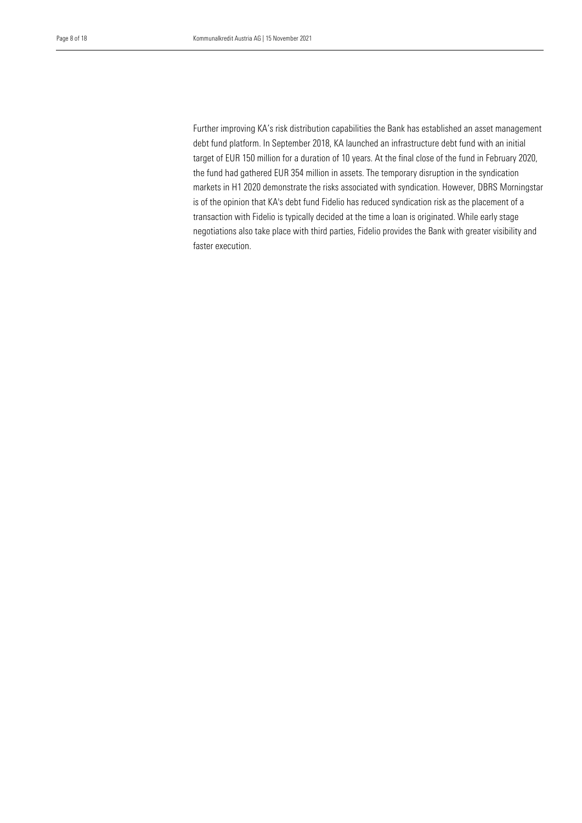Further improving KA's risk distribution capabilities the Bank has established an asset management debt fund platform. In September 2018, KA launched an infrastructure debt fund with an initial the fund had gathered EUR 354 million in assets. The temporary disruption in the syndication markets in H1 2020 demonstrate the risks associated with syndication. However, DBRS Morningstar target of EUR 150 million for a duration of 10 years. At the final close of the fund in February 2020, is of the opinion that KA's debt fund Fidelio has reduced syndication risk as the placement of a transaction with Fidelio is typically decided at the time a loan is originated. While early stage negotiations also take place with third parties, Fidelio provides the Bank with greater visibility and faster execution.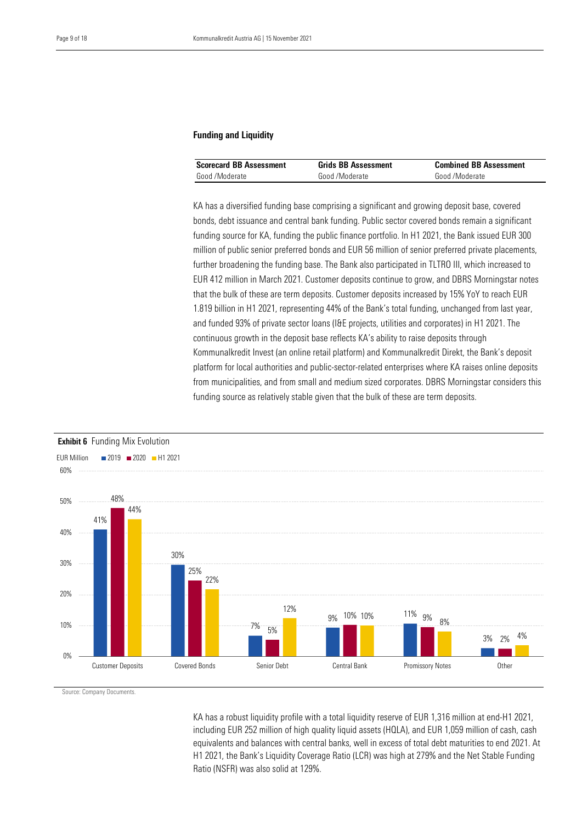# Funding and Liquidity

| <b>Scorecard BB Assessment</b> | <b>Grids BB Assessment</b> | <b>Combined BB Assessment</b> |
|--------------------------------|----------------------------|-------------------------------|
| Good /Moderate                 | Good /Moderate             | Good /Moderate                |

KA has a diversified funding base comprising a significant and growing deposit base, covered bonds, debt issuance and central bank funding. Public sector covered bonds remain a significant funding source for KA, funding the public finance portfolio. In H1 2021, the Bank issued EUR 300 million of public senior preferred bonds and EUR 56 million of senior preferred private placements, further broadening the funding base. The Bank also participated in TLTRO III, which increased to EUR 412 million in March 2021. Customer deposits continue to grow, and DBRS Morningstar notes that the bulk of these are term deposits. Customer deposits increased by 15% YoY to reach EUR 1.819 billion in H1 2021, representing 44% of the Bank's total funding, unchanged from last year, and funded 93% of private sector loans (I&E projects, utilities and corporates) in H1 2021. The continuous growth in the deposit base reflects KA's ability to raise deposits through Kommunalkredit Invest (an online retail platform) and Kommunalkredit Direkt, the Bank's deposit platform for local authorities and public-sector-related enterprises where KA raises online deposits from municipalities, and from small and medium sized corporates. DBRS Morningstar considers this funding source as relatively stable given that the bulk of these are term deposits.



Source: Company Documents.

KA has a robust liquidity profile with a total liquidity reserve of EUR 1,316 million at end-H1 2021, including EUR 252 million of high quality liquid assets (HQLA), and EUR 1,059 million of cash, cash equivalents and balances with central banks, well in excess of total debt maturities to end 2021. At H1 2021, the Bank's Liquidity Coverage Ratio (LCR) was high at 279% and the Net Stable Funding Ratio (NSFR) was also solid at 129%.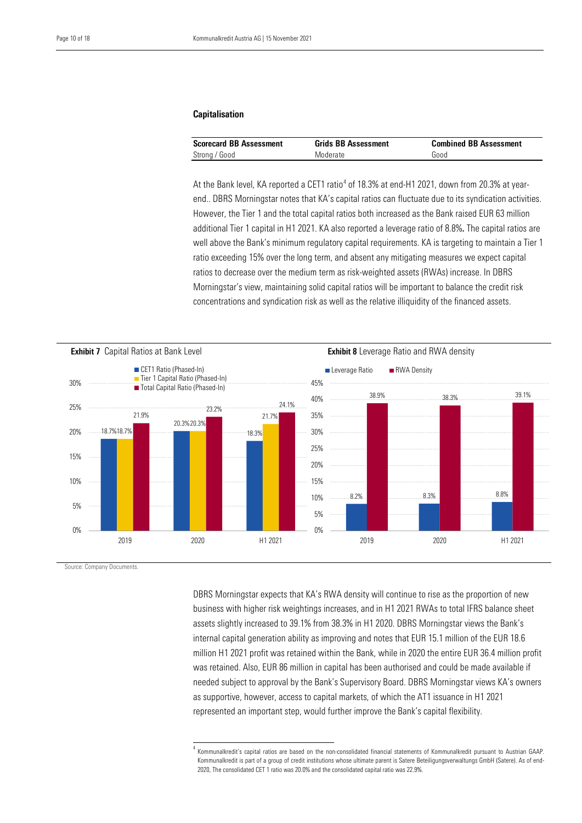## Capitalisation

| <b>Scorecard BB Assessment</b> | <b>Grids BB Assessment</b> | <b>Combined BB Assessment</b> |
|--------------------------------|----------------------------|-------------------------------|
| Strong / Good                  | Moderate                   | Good                          |

At the Bank level, KA reported a CET1 ratio $^4$  $^4$  of 18.3% at end-H1 2021, down from 20.3% at yearend.. DBRS Morningstar notes that KA's capital ratios can fluctuate due to its syndication activities. However, the Tier 1 and the total capital ratios both increased as the Bank raised EUR 63 million additional Tier 1 capital in H1 2021. KA also reported a leverage ratio of 8.8%. The capital ratios are well above the Bank's minimum regulatory capital requirements. KA is targeting to maintain a Tier 1 ratio exceeding 15% over the long term, and absent any mitigating measures we expect capital ratios to decrease over the medium term as risk-weighted assets (RWAs) increase. In DBRS Morningstar's view, maintaining solid capital ratios will be important to balance the credit risk concentrations and syndication risk as well as the relative illiquidity of the financed assets.



Source: Company Documents.

DBRS Morningstar expects that KA's RWA density will continue to rise as the proportion of new business with higher risk weightings increases, and in H1 2021 RWAs to total IFRS balance sheet assets slightly increased to 39.1% from 38.3% in H1 2020. DBRS Morningstar views the Bank's internal capital generation ability as improving and notes that EUR 15.1 million of the EUR 18.6 million H1 2021 profit was retained within the Bank, while in 2020 the entire EUR 36.4 million profit was retained. Also, EUR 86 million in capital has been authorised and could be made available if needed subject to approval by the Bank's Supervisory Board. DBRS Morningstar views KA's owners as supportive, however, access to capital markets, of which the AT1 issuance in H1 2021 represented an important step, would further improve the Bank's capital flexibility.

<sup>4</sup> Kommunalkredit's capital ratios are based on the non-consolidated financial statements of Kommunalkredit pursuant to Austrian GAAP. Kommunalkredit is part of a group of credit institutions whose ultimate parent is Satere Beteiligungsverwaltungs GmbH (Satere). As of end-2020, The consolidated CET 1 ratio was 20.0% and the consolidated capital ratio was 22.9%.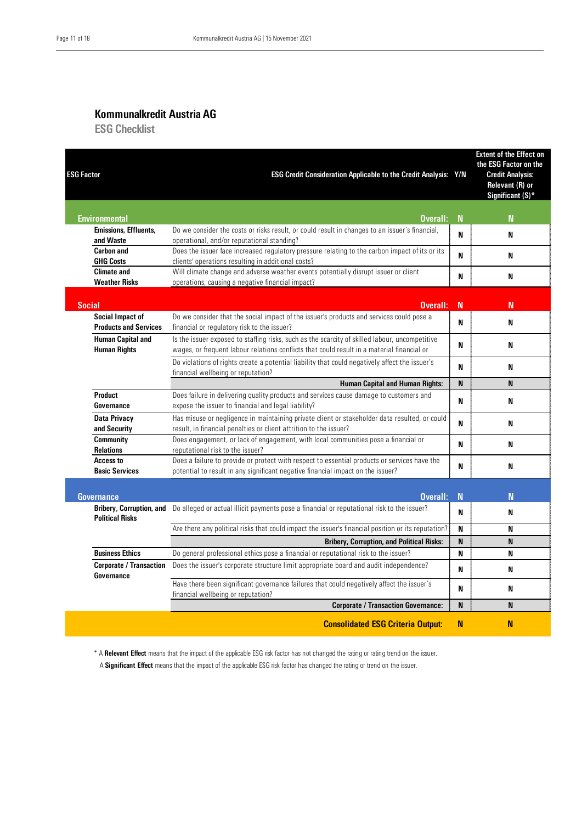# Kommunalkredit Austria AG

ESG Checklist

| <b>ESG Factor</b>                                         | ESG Credit Consideration Applicable to the Credit Analysis: Y/N                                                                                                                              |             | <b>Extent of the Effect on</b><br>the ESG Factor on the<br><b>Credit Analysis:</b><br>Relevant (R) or<br>Significant (S)* |
|-----------------------------------------------------------|----------------------------------------------------------------------------------------------------------------------------------------------------------------------------------------------|-------------|---------------------------------------------------------------------------------------------------------------------------|
| Environmental                                             | Overall:                                                                                                                                                                                     | N           | N                                                                                                                         |
| <b>Emissions, Effluents,</b>                              | Do we consider the costs or risks result, or could result in changes to an issuer's financial,                                                                                               | N           | N                                                                                                                         |
| and Waste<br><b>Carbon and</b>                            | operational, and/or reputational standing?<br>Does the issuer face increased regulatory pressure relating to the carbon impact of its or its                                                 |             |                                                                                                                           |
| <b>GHG Costs</b>                                          | clients' operations resulting in additional costs?                                                                                                                                           | N           | N                                                                                                                         |
| <b>Climate and</b><br><b>Weather Risks</b>                | Will climate change and adverse weather events potentially disrupt issuer or client<br>operations, causing a negative financial impact?                                                      | N           | N                                                                                                                         |
| <b>Social</b>                                             | Overall:                                                                                                                                                                                     | $\mathbf N$ | N                                                                                                                         |
| Social Impact of<br><b>Products and Services</b>          | Do we consider that the social impact of the issuer's products and services could pose a<br>financial or regulatory risk to the issuer?                                                      | N           | N                                                                                                                         |
| <b>Human Capital and</b><br><b>Human Rights</b>           | Is the issuer exposed to staffing risks, such as the scarcity of skilled labour, uncompetitive<br>wages, or frequent labour relations conflicts that could result in a material financial or | N           | N                                                                                                                         |
|                                                           | Do violations of rights create a potential liability that could negatively affect the issuer's<br>financial wellbeing or reputation?                                                         | N           | N                                                                                                                         |
|                                                           | <b>Human Capital and Human Rights:</b>                                                                                                                                                       | N           | N                                                                                                                         |
| <b>Product</b><br>Governance                              | Does failure in delivering quality products and services cause damage to customers and<br>expose the issuer to financial and legal liability?                                                | N           | N                                                                                                                         |
| <b>Data Privacy</b><br>and Security                       | Has misuse or negligence in maintaining private client or stakeholder data resulted, or could<br>result, in financial penalties or client attrition to the issuer?                           | N           | N                                                                                                                         |
| <b>Community</b><br><b>Relations</b>                      | Does engagement, or lack of engagement, with local communities pose a financial or<br>reputational risk to the issuer?                                                                       | N           | N                                                                                                                         |
| Access to<br><b>Basic Services</b>                        | Does a failure to provide or protect with respect to essential products or services have the<br>potential to result in any significant negative financial impact on the issuer?              | N           | N                                                                                                                         |
| <b>Governance</b>                                         | Overall:                                                                                                                                                                                     | N           | N                                                                                                                         |
| <b>Bribery, Corruption, and</b><br><b>Political Risks</b> | Do alleged or actual illicit payments pose a financial or reputational risk to the issuer?                                                                                                   | N           | N                                                                                                                         |
|                                                           | Are there any political risks that could impact the issuer's financial position or its reputation?                                                                                           | N           | N                                                                                                                         |
|                                                           | <b>Bribery, Corruption, and Political Risks:</b>                                                                                                                                             | N           | N                                                                                                                         |
| <b>Business Ethics</b>                                    | Do general professional ethics pose a financial or reputational risk to the issuer?                                                                                                          | N           | N                                                                                                                         |
| <b>Corporate / Transaction</b><br>Governance              | Does the issuer's corporate structure limit appropriate board and audit independence?                                                                                                        | N           | N                                                                                                                         |
|                                                           | Have there been significant governance failures that could negatively affect the issuer's<br>financial wellbeing or reputation?                                                              | N           | N                                                                                                                         |
|                                                           | <b>Corporate / Transaction Governance:</b>                                                                                                                                                   | N           | N                                                                                                                         |
|                                                           | <b>Consolidated ESG Criteria Output:</b>                                                                                                                                                     | N           | N                                                                                                                         |

\* A Relevant Effect means that the impact of the applicable ESG risk factor has not changed the rating or rating trend on the issuer.

<span id="page-10-0"></span>A Significant Effect means that the impact of the applicable ESG risk factor has changed the rating or trend on the issuer.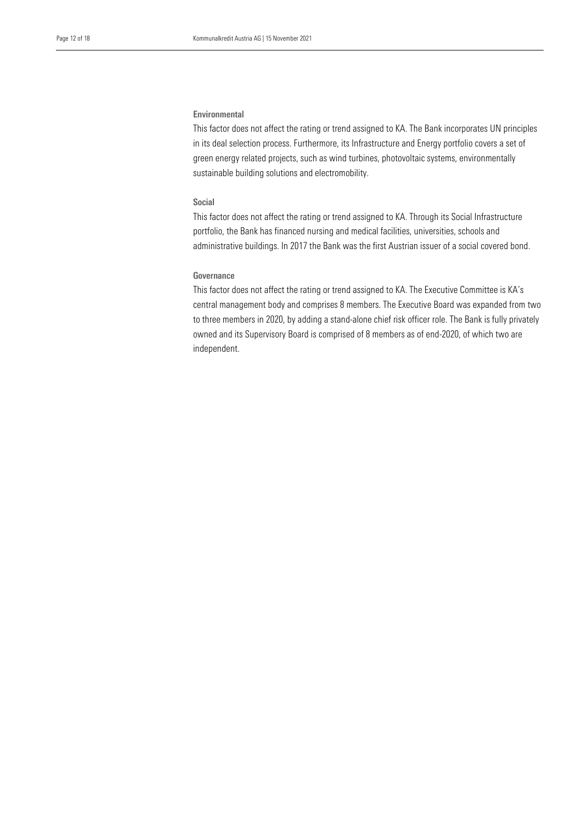#### Environmental

 This factor does not affect the rating or trend assigned to KA. The Bank incorporates UN principles in its deal selection process. Furthermore, its Infrastructure and Energy portfolio covers a set of sustainable building solutions and electromobility. green energy related projects, such as wind turbines, photovoltaic systems, environmentally

### Social

This factor does not affect the rating or trend assigned to KA. Through its Social Infrastructure portfolio, the Bank has financed nursing and medical facilities, universities, schools and administrative buildings. In 2017 the Bank was the first Austrian issuer of a social covered bond.

# Governance

This factor does not affect the rating or trend assigned to KA. The Executive Committee is KA's central management body and comprises 8 members. The Executive Board was expanded from two to three members in 2020, by adding a stand-alone chief risk officer role. The Bank is fully privately owned and its Supervisory Board is comprised of 8 members as of end-2020, of which two are independent.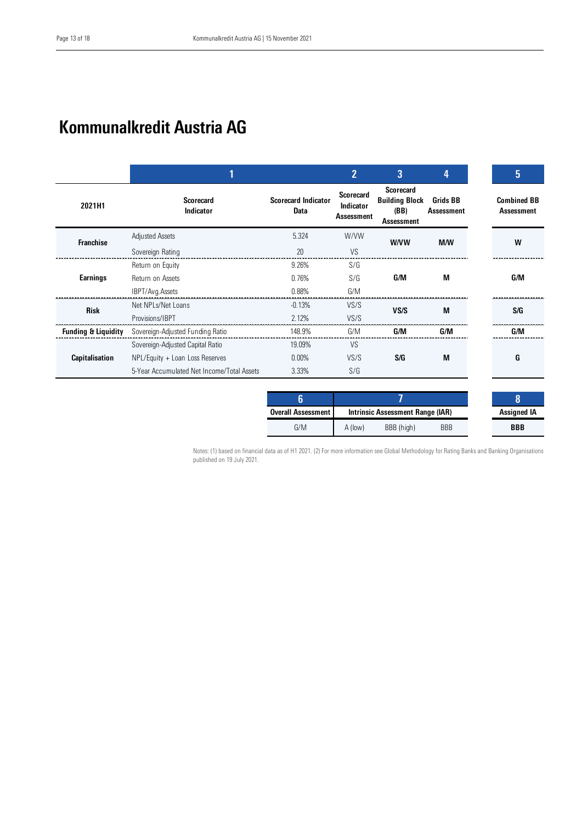# Kommunalkredit Austria AG

|                                |                                            |                                    | $\overline{2}$                                     | 3                                                               | 4                                    | 5                                       |
|--------------------------------|--------------------------------------------|------------------------------------|----------------------------------------------------|-----------------------------------------------------------------|--------------------------------------|-----------------------------------------|
| 2021H1                         | <b>Scorecard</b><br>Indicator              | <b>Scorecard Indicator</b><br>Data | <b>Scorecard</b><br>Indicator<br><b>Assessment</b> | <b>Scorecard</b><br><b>Building Block</b><br>(BB)<br>Assessment | <b>Grids BB</b><br><b>Assessment</b> | <b>Combined BB</b><br><b>Assessment</b> |
| <b>Franchise</b>               | Adjusted Assets                            | 5.324                              | W/VW                                               | <b>W/VW</b>                                                     | M/W                                  | W                                       |
|                                | Sovereign Rating                           | 20                                 | VS                                                 |                                                                 |                                      |                                         |
|                                | Return on Equity                           | 9.26%                              | S/G                                                |                                                                 |                                      |                                         |
| Earnings                       | Return on Assets                           | 0.76%                              | S/G                                                | G/M                                                             | M                                    | G/M                                     |
|                                | IBPT/Avg.Assets                            | 0.88%                              | G/M                                                |                                                                 |                                      |                                         |
| <b>Risk</b>                    | Net NPI s/Net Loans                        | $-0.13%$                           | VS/S                                               | VS/S                                                            | M                                    | S/G                                     |
|                                | Provisions/IBPT                            | 2.12%                              | VS/S                                               |                                                                 |                                      |                                         |
| <b>Funding &amp; Liquidity</b> | Sovereign-Adjusted Funding Ratio           | 148.9%                             | G/M                                                | G/M                                                             | G/M                                  | G/M                                     |
|                                | Sovereign-Adjusted Capital Ratio           | 19.09%                             | VS                                                 |                                                                 |                                      |                                         |
| <b>Capitalisation</b>          | NPL/Equity + Loan Loss Reserves            | 0.00%                              | VS/S                                               | S/G                                                             | M                                    | G                                       |
|                                | 5-Year Accumulated Net Income/Total Assets | 3.33%                              | S/G                                                |                                                                 |                                      |                                         |

| <b>Overall Assessment</b> | Intrinsic Assessment Range (IAR) |            |            | <b>Assigned IA</b> |
|---------------------------|----------------------------------|------------|------------|--------------------|
| G/M                       | A (low)                          | BBB (high) | <b>BBB</b> | <b>BBB</b>         |

Notes: (1) based on financial data as of H1 2021. (2) For more information see Global Methodology for Rating Banks and Banking Organisations published on 19 July 2021.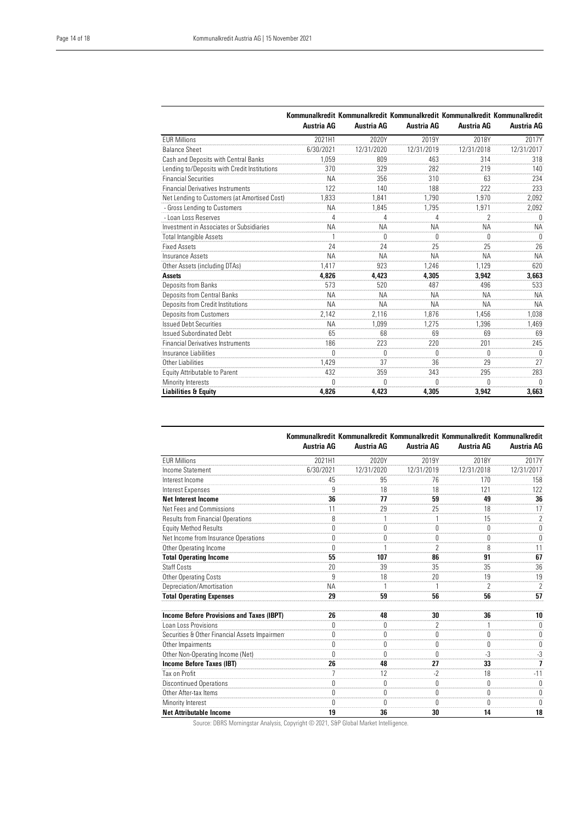$\overline{a}$ 

|                                              | Austria AG | Austria AG | Austria AG | Austria AG     | Kommunalkredit Kommunalkredit Kommunalkredit Kommunalkredit Kommunalkredit<br>Austria AG |
|----------------------------------------------|------------|------------|------------|----------------|------------------------------------------------------------------------------------------|
| <b>EUR Millions</b>                          | 2021H1     | 2020Y      | 2019Y      | 2018Y          | 2017Y                                                                                    |
| <b>Balance Sheet</b>                         | 6/30/2021  | 12/31/2020 | 12/31/2019 | 12/31/2018     | 12/31/2017                                                                               |
| Cash and Deposits with Central Banks         | 1.059      | 809        | 463        | 314            | 318                                                                                      |
| Lending to/Deposits with Credit Institutions | 370        | 329        | 282        | 219            | 140                                                                                      |
| <b>Financial Securities</b>                  | <b>NA</b>  | 356        | 310        | 63             | 234                                                                                      |
| <b>Financial Derivatives Instruments</b>     | 122        | 140        | 188        | 222            | 233                                                                                      |
| Net Lending to Customers (at Amortised Cost) | 1,833      | 1,841      | 1,790      | 1.970          | 2,092                                                                                    |
| - Gross Lending to Customers                 | <b>NA</b>  | 1.845      | 1.795      | 1.971          | 2,092                                                                                    |
| - Loan Loss Reserves                         | 4          | 4          | 4          | $\overline{2}$ | U                                                                                        |
| Investment in Associates or Subsidiaries     | <b>NA</b>  | <b>NA</b>  | <b>NA</b>  | <b>NA</b>      | <b>NA</b>                                                                                |
| <b>Total Intangible Assets</b>               |            | 0          | $\theta$   | 0              | $\Omega$                                                                                 |
| <b>Fixed Assets</b>                          | 24         | 24         | 25         | 25             | 26                                                                                       |
| Insurance Assets                             | <b>NA</b>  | <b>NA</b>  | <b>NA</b>  | <b>NA</b>      | <b>NA</b>                                                                                |
| Other Assets (including DTAs)                | 1.417      | 923        | 1.246      | 1.129          | 620                                                                                      |
| Assets                                       | 4,826      | 4,423      | 4,305      | 3.942          | 3,663                                                                                    |
| Deposits from Banks                          | 573        | 520        | 487        | 496            | 533                                                                                      |
| <b>Deposits from Central Banks</b>           | <b>NA</b>  | <b>NA</b>  | <b>NA</b>  | <b>NA</b>      | <b>NA</b>                                                                                |
| Deposits from Credit Institutions            | <b>NA</b>  | <b>NA</b>  | <b>NA</b>  | <b>NA</b>      | <b>NA</b>                                                                                |
| <b>Deposits from Customers</b>               | 2,142      | 2.116      | 1.876      | 1.456          | 1.038                                                                                    |
| <b>Issued Debt Securities</b>                | <b>NA</b>  | 1,099      | 1.275      | 1,396          | 1,469                                                                                    |
| <b>Issued Subordinated Debt</b>              | 65         | 68         | 69         | 69             | 69                                                                                       |
| <b>Financial Derivatives Instruments</b>     | 186        | 223        | 220        | 201            | 245                                                                                      |
| Insurance Liabilities                        | $\theta$   | 0          | $\Omega$   | Ŋ              | N                                                                                        |
| Other Liabilities                            | 1.429      | 37         | 36         | 29             | 27                                                                                       |
| <b>Equity Attributable to Parent</b>         | 432        | 359        | 343        | 295            | 283                                                                                      |
| Minority Interests                           | N          | Λ          | N          | Λ              | N                                                                                        |
| Liabilities & Equity                         | 4,826      | 4,423      | 4,305      | 3,942          | 3,663                                                                                    |

|                                                  | <b>Austria AG</b> | <b>Austria AG</b> | <b>Austria AG</b> | <b>Austria AG</b> | Kommunalkredit Kommunalkredit Kommunalkredit Kommunalkredit Kommunalkredit<br>Austria AG |
|--------------------------------------------------|-------------------|-------------------|-------------------|-------------------|------------------------------------------------------------------------------------------|
| <b>FUR Millions</b>                              | 2021H1            | 2020Y             | 2019Y             | 2018Y             | 2017Y                                                                                    |
| Income Statement                                 | 6/30/2021         | 12/31/2020        | 12/31/2019        | 12/31/2018        | 12/31/2017                                                                               |
| Interest Income                                  | 45                | 95                | 76                | 170               | 158                                                                                      |
| Interest Expenses                                | 9                 | 18                | 18                | 121               | 122                                                                                      |
| <b>Net Interest Income</b>                       | 36                | 77                | 59                | 49                | 36                                                                                       |
| Net Fees and Commissions                         | 11                | 29                | 25                | 18                | 17                                                                                       |
| <b>Results from Financial Operations</b>         | 8                 |                   |                   | 15                | $\overline{2}$                                                                           |
| <b>Equity Method Results</b>                     | 0                 | 0                 | $\theta$          | 0                 | 0                                                                                        |
| Net Income from Insurance Operations             | 0                 | 0                 | $\theta$          | $\theta$          | 0                                                                                        |
| Other Operating Income                           | U                 |                   | 2                 | 8                 | 11                                                                                       |
| <b>Total Operating Income</b>                    | 55                | 107               | 86                | 91                | 67                                                                                       |
| <b>Staff Costs</b>                               | 20                | 39                | 35                | 35                | 36                                                                                       |
| Other Operating Costs                            | 9                 | 18                | 20                | 19                | 19                                                                                       |
| Depreciation/Amortisation                        | <b>NA</b>         |                   | 1                 | 2                 | $\overline{2}$                                                                           |
| <b>Total Operating Expenses</b>                  | 29                | 59                | 56                | 56                | 57                                                                                       |
| <b>Income Before Provisions and Taxes (IBPT)</b> | 26                | 48                | 30                | 36                | 10                                                                                       |
| Loan Loss Provisions                             | $\theta$          | $\theta$          | $\mathcal{P}$     | 1                 | $\theta$                                                                                 |
| Securities & Other Financial Assets Impairment   | 0                 | 0                 | $\mathbf{0}$      | 0                 | 0                                                                                        |
| Other Impairments                                | $\theta$          | $\theta$          | $\theta$          | $\theta$          | $\Omega$                                                                                 |
| Other Non-Operating Income (Net)                 | $\Omega$          | $\Omega$          | $\Omega$          | $-3$              | $-3$                                                                                     |
| Income Before Taxes (IBT)                        | 26                | 48                | 27                | 33                | 7                                                                                        |
| Tax on Profit                                    | $\overline{7}$    | 12                | $-2$              | 18                | $-11$                                                                                    |
| <b>Discontinued Operations</b>                   | 0                 | 0                 | 0                 | 0                 | 0                                                                                        |
| Other After-tax Items                            | $\Omega$          | $\theta$          | $\theta$          | 0                 | 0                                                                                        |
| Minority Interest                                | U                 | $\theta$          | U                 | U                 | U                                                                                        |
| <b>Net Attributable Income</b>                   | 19                | 36                | 30                | 14                | 18                                                                                       |

Source: DBRS Morningstar Analysis, Copyright @ 2021, S&P Global Market Intelligence.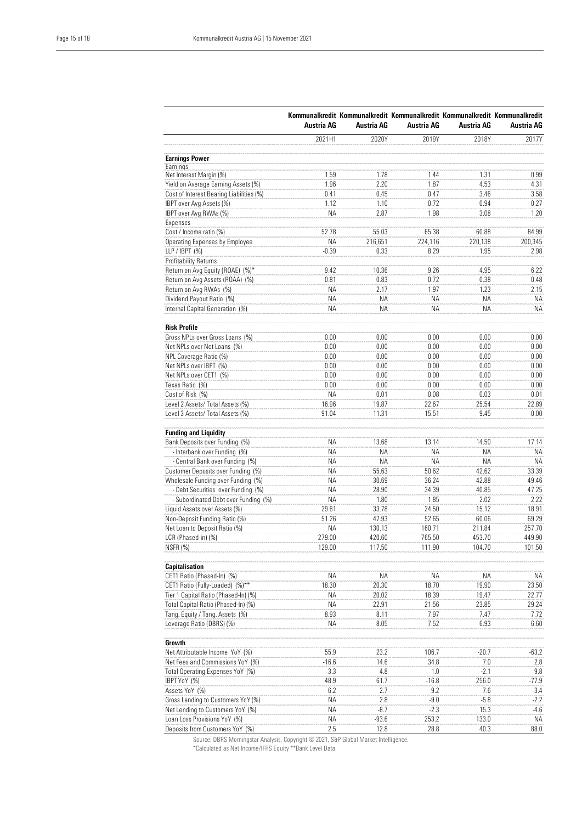|                                          | Austria AG | Austria AG | Austria AG | Austria AG | Kommunalkredit Kommunalkredit Kommunalkredit Kommunalkredit Kommunalkredit<br>Austria AG |
|------------------------------------------|------------|------------|------------|------------|------------------------------------------------------------------------------------------|
|                                          | 2021H1     | 2020Y      | 2019Y      | 2018Y      | 2017Y                                                                                    |
| <b>Earnings Power</b>                    |            |            |            |            |                                                                                          |
| Earnings                                 |            |            |            |            |                                                                                          |
| Net Interest Margin (%)                  | 1.59       | 1.78       | 1.44       | 1.31       | 0.99                                                                                     |
| Yield on Average Earning Assets (%)      | 1.96       | 2.20       | 1.87       | 4.53       | 4.31                                                                                     |
| Cost of Interest Bearing Liabilities (%) | 0.41       | 0.45       | 0.47       | 3.46       | 3.58                                                                                     |
| IBPT over Avg Assets (%)                 | 1.12       | 1.10       | 0.72       | 0.94       | 0.27                                                                                     |
| IBPT over Avg RWAs (%)                   | ΝA         | 2.87       | 1.98       | 3.08       | 1.20                                                                                     |
| Expenses                                 |            |            |            |            |                                                                                          |
| Cost / Income ratio (%)                  | 52.78      | 55.03      | 65.38      | 60.88      | 84.99                                                                                    |
| Operating Expenses by Employee           | ΝA         | 216,651    | 224,116    | 220,138    | 200,345                                                                                  |
| LLP / IBPT (%)                           | $-0.39$    | 0.33       | 8.29       | 1.95       | 2.98                                                                                     |
| <b>Profitability Returns</b>             |            |            |            |            |                                                                                          |
| Return on Avg Equity (ROAE) (%)*         | 9.42       | 10.36      | 9.26       | 4.95       | 6.22                                                                                     |
| Return on Avg Assets (ROAA) (%)          | 0.81       | 0.83       | 0.72       | 0.38       | 0.48                                                                                     |
| Return on Avg RWAs (%)                   | ΝA         | 2.17       | 1.97       | 1.23       | 2.15                                                                                     |
| Dividend Payout Ratio (%)                | <b>NA</b>  | ΝA         | <b>NA</b>  | <b>NA</b>  | ΝA                                                                                       |
| Internal Capital Generation (%)          | ΝA         | ΝA         | ΝA         | ΝA         | ΝA                                                                                       |
| <b>Risk Profile</b>                      |            |            |            |            |                                                                                          |
| Gross NPLs over Gross Loans (%)          | 0.00       | 0.00       | 0.00       | 0.00       | $0.00\,$                                                                                 |
| Net NPLs over Net Loans (%)              | 0.00       | 0.00       | 0.00       | 0.00       | $0.00\,$                                                                                 |
| NPL Coverage Ratio (%)                   | 0.00       | 0.00       | 0.00       | 0.00       | $0.00\,$                                                                                 |
| Net NPLs over IBPT (%)                   | 0.00       | 0.00       | 0.00       | 0.00       | $0.00\,$                                                                                 |
| Net NPLs over CET1 (%)                   | 0.00       | 0.00       | 0.00       | 0.00       | $0.00\,$                                                                                 |
| Texas Ratio (%)                          | 0.00       | 0.00       | 0.00       | 0.00       | $0.00\,$                                                                                 |
| Cost of Risk (%)                         | ΝA         | 0.01       | 0.08       | 0.03       | 0.01                                                                                     |
| Level 2 Assets/ Total Assets (%)         | 16.96      | 19.87      | 22.67      | 25.54      | 22.89                                                                                    |
| Level 3 Assets/ Total Assets (%)         | 91.04      | 11.31      | 15.51      | 9.45       | $0.00\,$                                                                                 |
| <b>Funding and Liquidity</b>             |            |            |            |            |                                                                                          |
| Bank Deposits over Funding (%)           | ΝA         | 13.68      | 13.14      | 14.50      | 17.14                                                                                    |
| - Interbank over Funding (%)             | <b>NA</b>  | <b>ΝΑ</b>  | <b>NA</b>  | <b>NA</b>  | ΝA                                                                                       |
| - Central Bank over Funding (%)          | ΝA         | ΝA         | ΝA         | <b>NA</b>  | ΝA                                                                                       |
| Customer Deposits over Funding (%)       | ΝA         | 55.63      | 50.62      | 42.62      | 33.39                                                                                    |
| Wholesale Funding over Funding (%)       | <b>NA</b>  | 30.69      | 36.24      | 42.88      | 49.46                                                                                    |
| - Debt Securities over Funding (%)       | ΝA         | 28.90      | 34.39      | 40.85      | 47.25                                                                                    |
| - Subordinated Debt over Funding (%)     | <b>NA</b>  | 1.80       | 1.85       | 2.02       | 2.22                                                                                     |
| Liquid Assets over Assets (%)            | 29.61      | 33.78      | 24.50      | 15.12      | 18.91                                                                                    |
| Non-Deposit Funding Ratio (%)            | 51.26      | 47.93      | 52.65      | 60.06      | 69.29                                                                                    |
| Net Loan to Deposit Ratio (%)            | ΝA         | 130.13     | 160.71     | 211.84     | 257.70                                                                                   |
| LCR (Phased-in) (%)                      | 279.00     | 420.60     | 765.50     | 453.70     | 449.90                                                                                   |
| NSFR (%)                                 | 129.00     | 117.50     | 111.90     | 104.70     | 101.50                                                                                   |
| Capitalisation                           |            |            |            |            |                                                                                          |
| CET1 Ratio (Phased-In) (%)               | ΝA         | ΝA         | ΝA         | ΝA         | ΝA                                                                                       |
| CET1 Ratio (Fully-Loaded) (%)**          | 18.30      | 20.30      | 18.70      | 19.90      | 23.50                                                                                    |
| Tier 1 Capital Ratio (Phased-In) (%)     | ΝA         | 20.02      | 18.39      | 19.47      | 22.77                                                                                    |
| Total Capital Ratio (Phased-In) (%)      | ΝA         | 22.91      | 21.56      | 23.85      | 29.24                                                                                    |
| Tang. Equity / Tang. Assets (%)          | 8.93       | 8.11       | 7.97       | 7.47       | 7.72                                                                                     |
| Leverage Ratio (DBRS) (%)                | ΝA         | 8.05       | 7.52       | 6.93       | 6.60                                                                                     |
| Growth                                   |            |            |            |            |                                                                                          |
| Net Attributable Income YoY (%)          | 55.9       | 23.2       | 106.7      | $-20.7$    | $-63.2$                                                                                  |
| Net Fees and Commissions YoY (%)         | $-16.6$    | 14.6       | 34.8       | 7.0        | 2.8                                                                                      |
| Total Operating Expenses YoY (%)         | 3.3        | 4.8        | 1.0        | $-2.1$     | 9.8                                                                                      |
| IBPT YoY (%)                             | 48.9       | 61.7       | $-16.8$    | 256.0      | $-77.9$                                                                                  |
| Assets YoY (%)                           | 6.2        | 2.7        | 9.2        | 7.6        | $-3.4$                                                                                   |
| Gross Lending to Customers YoY (%)       | ΝA         | 2.8        | $-9.0$     | $-5.8$     | $-2.2$                                                                                   |
| Net Lending to Customers YoY (%)         | ΝA         | $-8.7$     | $-2.3$     | 15.3       | $-4.6$                                                                                   |
| Loan Loss Provisions YoY (%)             | ΝA         | $-93.6$    | 253.2      | 133.0      | ΝA                                                                                       |
| Deposits from Customers YoY (%)          | $2.5\,$    | 12.8       | 28.8       | 40.3       | 88.0                                                                                     |

Source: DBRS Morningstar Analysis, Copyright © 2021, S&P Global Market Intelligence.

\*Calculated as Net Income/IFRS Equity \*\*Bank Level Data.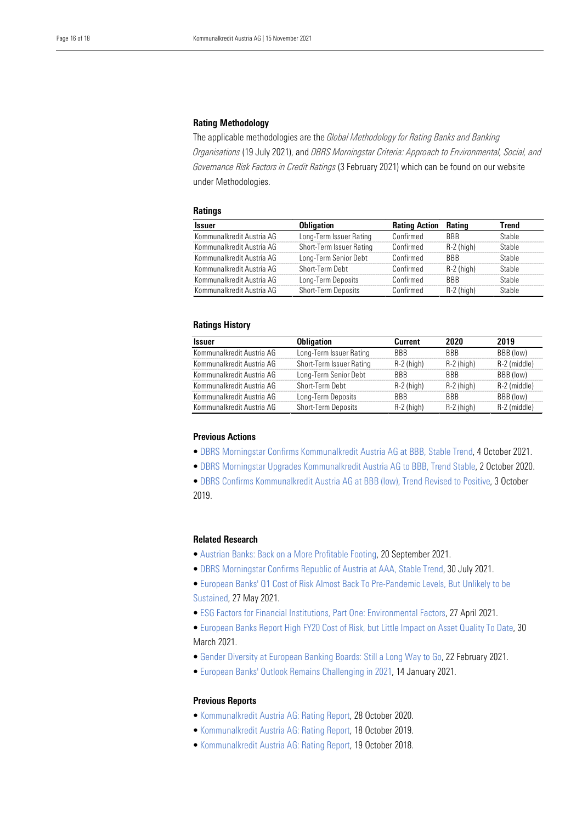#### Rating Methodology

 *Organisations* (19 July 2021), and *DBRS Morningstar Criteria: Approach to Environmental, Social, and Governance Risk Factors in Credit Ratings* (3 February 2021) which can be found on our website The applicable methodologies are the *Global Methodology for Rating Banks and Banking*  under Methodologies.

#### **Ratings**

| <b>Issuer</b>             | <b>Obligation</b>        | <b>Rating Action</b> | Rating       | Trend  |
|---------------------------|--------------------------|----------------------|--------------|--------|
| Kommunalkredit Austria AG | Long-Term Issuer Rating  | Confirmed            | <b>BBB</b>   | Stable |
| Kommunalkredit Austria AG | Short-Term Issuer Rating | Confirmed            | $R-2$ (high) | Stable |
| Kommunalkredit Austria AG | Long-Term Senior Debt    | Confirmed            | <b>BBB</b>   | Stable |
| Kommunalkredit Austria AG | Short-Term Debt          | Confirmed            | $R-2$ (high) | Stable |
| Kommunalkredit Austria AG | Long-Term Deposits       | Confirmed            | <b>RRR</b>   | Stable |
| Kommunalkredit Austria AG | Short-Term Deposits      | Confirmed            | $R-2$ (high) | Stable |

# Ratings History

| Issuer                    | <b>Obligation</b>          | Current      | 2020         | 2019         |
|---------------------------|----------------------------|--------------|--------------|--------------|
| Kommunalkredit Austria AG | Long-Term Issuer Rating    | <b>BBB</b>   | <b>BBB</b>   | BBB (low)    |
| Kommunalkredit Austria AG | Short-Term Issuer Rating   | $R-2$ (high) | $R-2$ (high) | R-2 (middle) |
| Kommunalkredit Austria AG | Long-Term Senior Debt      | <b>RRR</b>   | <b>RRR</b>   | BBB (low)    |
| Kommunalkredit Austria AG | Short-Term Debt            | $R-2$ (high) | $R-2$ (high) | R-2 (middle) |
| Kommunalkredit Austria AG | Long-Term Deposits         | <b>RRR</b>   | <b>RRR</b>   | BBB (low)    |
| Kommunalkredit Austria AG | <b>Short-Term Deposits</b> | $R-2$ (high) | $R-2$ (high) | R-2 (middle) |

## Previous Actions

- [DBRS Morningstar Confirms Kommunalkredit Austria AG at BBB, Stable Trend,](https://www.dbrsmorningstar.com/research/385345/dbrs-morningstar-confirms-kommunalkredit-austria-ag-at-bbb-stable-trend) 4 October 2021.
- • [DBRS Morningstar Upgrades Kommunalkredit Austria AG to BBB, Trend Stable,](https://www.dbrsmorningstar.com/research/367786/dbrs-morningstar-upgrades-kommunalkredit-austria-ag-to-bbb-trend-stable) 2 October 2020.

• [DBRS Confirms Kommunalkredit Austria AG at BBB \(low\), Trend Revised to Positive,](https://www.dbrsmorningstar.com/research/351295/dbrs-confirms-kommunalkredit-austria-ag-at-bbb-low-trend-revised-to-positive) 3 October 2019.

# Related Research

- • [Austrian Banks: Back on a More Profitable Footing,](https://www.dbrsmorningstar.com/research/384579/austrian-banks-back-on-a-more-profitable-footing) 20 September 2021.
- • [DBRS Morningstar Confirms Republic of Austria at AAA, Stable Trend,](https://www.dbrsmorningstar.com/research/382479/dbrs-morningstar-confirms-republic-of-austria-at-aaa-stable-trend) 30 July 2021.
- • [European Banks' Q1 Cost of Risk Almost Back To Pre-Pandemic Levels, But Unlikely to be](https://www.dbrsmorningstar.com/research/379007/european-banks-q1-cost-of-risk-almost-back-to-pre-pandemic-levels-but-unlikely-to-be-sustained)  [Sustained,](https://www.dbrsmorningstar.com/research/379007/european-banks-q1-cost-of-risk-almost-back-to-pre-pandemic-levels-but-unlikely-to-be-sustained) 27 May 2021.
- • [ESG Factors for Financial Institutions, Part One: Environmental Factors,](https://www.dbrsmorningstar.com/research/377394/esg-factors-for-financial-institutions-part-one-environmental-factors) 27 April 2021.
- • [European Banks Report High FY20 Cost of Risk, but Little Impact on Asset Quality To Date,](https://www.dbrsmorningstar.com/research/376026/european-banks-report-high-fy20-cost-of-risk-but-little-impact-on-asset-quality-to-date) 30 March 2021.
- • [Gender Diversity at European Banking Boards: Still a Long Way to Go,](https://www.dbrsmorningstar.com/research/373925/gender-diversity-at-european-banking-boards-still-a-long-way-to-go) 22 February 2021.
- • [European Banks' Outlook Remains Challenging in 2021,](https://www.dbrsmorningstar.com/research/372289/european-banks-outlook-remains-challenging-in-2021) 14 January 2021.

# Previous Reports

- • [Kommunalkredit Austria AG: Rating Report,](https://www.dbrsmorningstar.com/research/368974/kommunalkredit-austria-ag-rating-report) 28 October 2020.
- • [Kommunalkredit Austria AG: Rating Report,](https://www.dbrsmorningstar.com/research/351864/kommunalkredit-austria-ag-rating-report) 18 October 2019.
- [Kommunalkredit Austria AG: Rating Report](https://www.dbrsmorningstar.com/research/334442/kommunalkredit-austria-ag-rating-report), 19 October 2018.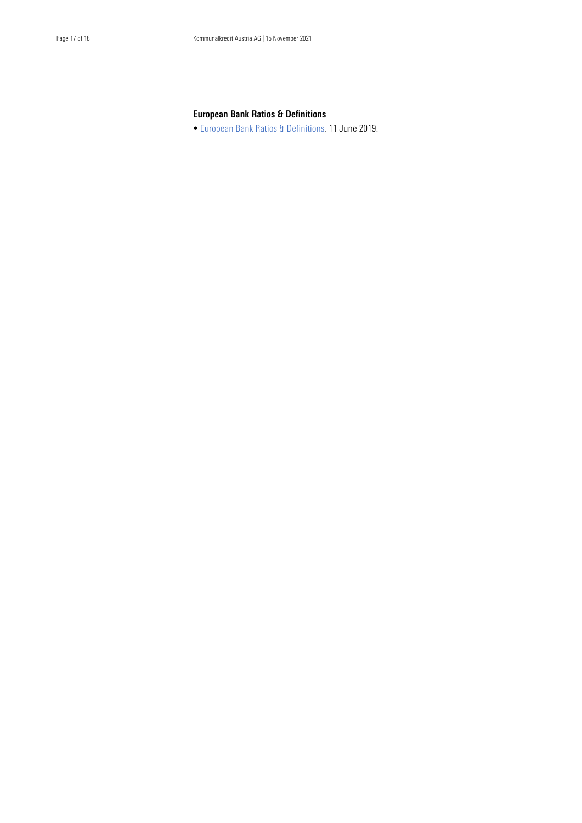# European Bank Ratios & Definitions

• [European Bank Ratios & Definitions,](https://www.dbrs.com/research/346439/european-bank-ratios-and-definitions) 11 June 2019.